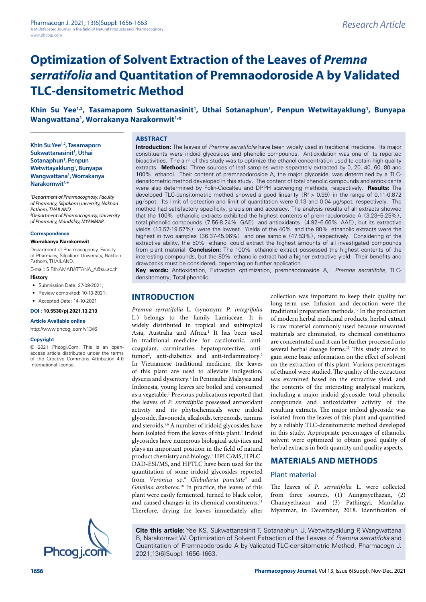# **Optimization of Solvent Extraction of the Leaves of** *Premna serratifolia* **and Quantitation of Premnaodoroside A by Validated TLC-densitometric Method**

# Khin Su Yee<sup>1,2</sup>, Tasamaporn Sukwattanasinit<sup>1</sup>, Uthai Sotanaphun<sup>1</sup>, Penpun Wetwitayaklung<sup>1</sup>, Bunyapa **Wangwattana1 , Worrakanya Narakornwit1,\***

**Khin Su Yee1,2, Tasamaporn Sukwattanasinit1 , Uthai Sotanaphun1 , Penpun Wetwitayaklung1 , Bunyapa Wangwattana1 , Worrakanya Narakornwit1,\***

*1 Department of Pharmacognosy, Faculty of Pharmacy, Silpakorn University, Nakhon Pathom, THAILAND. 2 Department of Pharmacognosy, University of Pharmacy, Mandalay, MYANMAR.*

#### **Correspondence**

**Worrakanya Narakornwit**

Department of Pharmacognosy, Faculty of Pharmacy, Silpakorn University, Nakhon Pathom, THAILAND.

E-mail: SIRINAMARATTANA\_A@su.ac.th

### **History**

• Submission Date: 27-09-2021;

- Review completed: 10-10-2021:
- Accepted Date: 14-10-2021.

**DOI : 10.5530/pj.2021.13.213**

#### **Article Available online**

[http://www.phcogj.com/v13/i6](http://www.phcogj.com/v13/i4)

### **Copyright**

© 2021 Phcogj.Com. This is an openaccess article distributed under the terms of the Creative Commons Attribution 4.0 International license.



### **ABSTRACT**

**Introduction:** The leaves of *Premna serratifolia* have been widely used in traditional medicine. Its major constituents were iridoid glycosides and phenolic compounds. Antioxidation was one of its reported bioactivities. The aim of this study was to optimize the ethanol concentration used to obtain high quality extracts. **Methods:** Three sources of leaf samples were separately extracted by 0, 20, 40, 60, 80 and 100% ethanol. Their content of premnaodoroside A, the major glycoside, was determined by a TLCdensitometric method developed in this study. The content of total phenolic compounds and antioxidants were also determined by Folin-Ciocalteu and DPPH scavenging methods, respectively. **Results:** The developed TLC-densitometric method showed a good linearity  $(R^2 > 0.99)$  in the range of 0.11-0.872 µg/spot. Its limit of detection and limit of quantitation were 0.13 and 0.04 µg/spot, respectively. The method had satisfactory specificity, precision and accuracy. The analysis results of all extracts showed that the 100% ethanolic extracts exhibited the highest contents of premnaodoroside A (3.23–5.25%), total phenolic compounds (7.56-8.24% GAE) and antioxidants (4.92–6.66% AAE), but its extractive yields (13.57-19.57%) were the lowest. Yields of the 40% and the 80% ethanolic extracts were the highest in two samples (36.37-45.96%) and one sample (47.53%), respectively. Considering of the extractive ability, the 80% ethanol could extract the highest amounts of all investigated compounds from plant material. **Conclusion:** The 100% ethanolic extract possessed the highest contents of the interesting compounds, but the 80% ethanolic extract had a higher extractive yield. Their benefits and drawbacks must be considered, depending on further application.

**Key words:** Antioxidation, Extraction optimization, premnaodoroside A, *Premna serratifolia*, TLCdensitometry, Total phenolic.

# **INTRODUCTION**

*Premna serratifolia* L. (synonym: *P. integrifolia* L.) belongs to the family Lamiaceae. It is widely distributed in tropical and subtropical Asia, Australia and Africa.<sup>1</sup> It has been used in traditional medicine for cardiotonic, anticoagulant, carminative, hepatoprotective, antitumor<sup>2</sup>, anti-diabetics and anti-inflammatory.<sup>3</sup> In Vietnamese traditional medicine, the leaves of this plant are used to alleviate indigestion, dysuria and dysentery.4 In Peninsular Malaysia and Indonesia, young leaves are boiled and consumed as a vegetable.<sup>1</sup> Previous publications reported that the leaves of *P. serratifolia* possessed antioxidant activity and its phytochemicals were iridoid glycoside, flavonoids, alkaloids, terpenoids, tannins and steroids.<sup>5,6</sup> A number of iridoid glycosides have been isolated from the leaves of this plant.<sup>7</sup> Iridoid glycosides have numerous biological activities and plays an important position in the field of natural product chemistry and biology.7 HPLC/MS, HPLC-DAD-ESI/MS, and HPTLC have been used for the quantitation of some iridoid glycosides reported from *Veronica* sp.8 *Globularia punctate*<sup>9</sup> and, *Gmelina aroborea*. 10 In practice, the leaves of this plant were easily fermented, turned to black color, and caused changes in its chemical constituents.<sup>11</sup> Therefore, drying the leaves immediately after

collection was important to keep their quality for long-term use. Infusion and decoction were the traditional preparation methods.12 In the production of modern herbal medicinal products, herbal extract is raw material commonly used because unwanted materials are eliminated, its chemical constituents are concentrated and it can be further processed into several herbal dosage forms.<sup>13</sup> This study aimed to gain some basic information on the effect of solvent on the extraction of this plant. Various percentages of ethanol were studied. The quality of the extraction was examined based on the extractive yield, and the contents of the interesting analytical markers, including a major iridoid glycoside, total phenolic compounds and antioxidative activity of the resulting extracts. The major iridoid glycoside was isolated from the leaves of this plant and quantified by a reliably TLC-densitometric method developed in this study. Appropriate percentages of ethanolic solvent were optimized to obtain good quality of herbal extracts in both quantity and quality aspects.

# **MATERIALS AND METHODS**

### Plant material

The leaves of *P. serratifolia* L. were collected from three sources, (1) Aungmyethazan, (2) Chanayethazan and (3) Pathingyi, Mandalay, Myanmar, in December, 2018. Identification of

**Cite this article:** Yee KS, Sukwattanasinit T, Sotanaphun U, Wetwitayaklung P, Wangwattana B, Narakornwit W. Optimization of Solvent Extraction of the Leaves of *Premna serratifolia* and Quantitation of Premnaodoroside A by Validated TLC-densitometric Method. Pharmacogn J.<br>2021;13(6)Suppl: 1656-1663.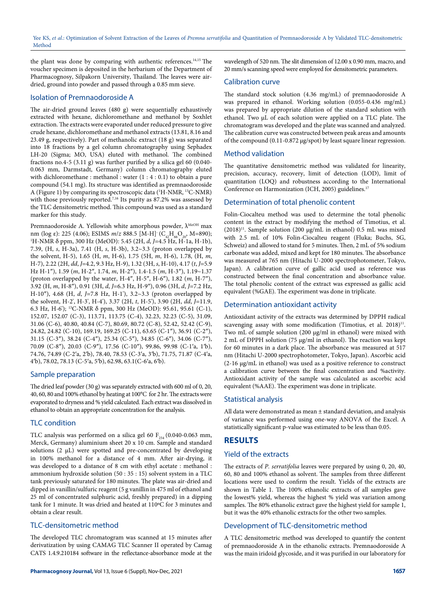the plant was done by comparing with authentic references.<sup>14,15</sup> The voucher specimen is deposited in the herbarium of the Department of Pharmacognosy, Silpakorn University, Thailand. The leaves were airdried, ground into powder and passed through a 0.85 mm sieve.

# Isolation of Premnaodoroside A

The air-dried ground leaves (480 g) were sequentially exhaustively extracted with hexane, dichloromethane and methanol by Soxhlet extraction. The extracts were evaporated under reduced pressure to give crude hexane, dichloromethane and methanol extracts (13.81, 8.16 and 23.49 g, respectively). Part of methanolic extract (18 g) was separated into 18 fractions by a gel column chromatography using Sephadex LH-20 (Sigma; MO, USA) eluted with methanol. The combined fractions no.4-5  $(3.11 \text{ g})$  was further purified by a silica gel 60  $(0.040 -$ 0.063 mm, Darmstadt, Germany) column chromatography eluted with dichloromethane : methanol : water (1 : 4 : 0.1) to obtain a pure compound (54.1 mg). Its structure was identified as premnaodoroside A (Figure 1) by comparing its spectroscopic data ('H-NMR, <sup>13</sup>C-NMR) with those previously reported.<sup>7,16</sup> Its purity as 87.2% was assessed by the TLC densitometric method. This compound was used as a standard marker for this study.

Premnaodoroside A. Yellowish white amorphous powder,  $\lambda^{\text{MeOH}}$  max nm (log ε): 225 (4.06); ESIMS *m/z* 888.5 [M-H]<sup>-</sup> (C<sub>42</sub>H<sub>66</sub>O<sub>20</sub>, M=890); <sup>1</sup>H-NMR δ ppm, 300 Hz (MeOD): 5.45 (2H, *d*, *J*=4.5 Hz, H-1a, H-1b), 7.39, (H, *s*, H-3a), 7.41 (H, *s*, H-3b), 3.2~3.3 (proton overlapped by the solvent, H-5), 1.65 (H, *m*, H-6), 1.75 (5H, *m*, H-6), 1.78, (H, *m*, H-7), 2.22 (2H, *dd*, *J*=4.2, 9.3 Hz, H-9), 1.32 (3H, *s*, H-10), 4.17 (*t*, *J*=5.9 Hz H-1″), 1.59 (*m*, H-2″, 1.74, *m*, H-2″), 1.4-1.5 (*m*, H-3″), 1.19~1.37 (proton overlapped by the water, H-4″, H-5″, H-6″), 1.82 (*m*, H-7″), 3.92 (H, *m*, H-8″), 0.91 (3H, *d*, *J*=6.3 Hz, H-9″), 0.96 (3H, *d*, *J*=7.2 Hz, H-10″), 4.68 (H, *d*, *J*=7.8 Hz, H-1'), 3.2~3.3 (proton overlapped by the solvent, H-2', H-3', H-4'), 3.37 (2H, *t*, H-5'), 3.90 (2H, *dd*, *J*=11.9, 6.3 Hz, H-6'); 13C-NMR δ ppm, 300 Hz (MeOD): 95.61, 95.61 (C-1), 152.07, 152.07 (C-3), 113.71, 113.75 (C-4), 32.23, 32.23 (C-5), 31.09, 31.06 (C-6), 40.80, 40.84 (C-7), 80.69, 80.72 (C-8), 52.42, 52.42 (C-9), 24.82, 24.82 (C-10), 169.19, 169.25 (C-11), 63.65 (C-1″), 36.91 (C-2″), 31.15 (C-3″), 38.24 (C-4″), 25.34 (C-5″), 34.85 (C-6″), 34.06 (C-7″), 70.09 (C-8″), 20.03 (C-9″), 17.56 (C-10″), 99.86, 99.98 (C-1′a, 1′b), 74.76, 74.89 (C-2′a, 2′b), 78.40, 78.53 (C-3′a, 3′b), 71.75, 71.87 (C-4′a, 4′b), 78.02, 78.13 (C-5′a, 5′b), 62.98, 63.1(C-6′a, 6′b).

# Sample preparation

The dried leaf powder (30 g) was separately extracted with 600 ml of 0, 20, 40, 60, 80 and 100% ethanol by heating at 100°C for 2 hr. The extracts were evaporated to dryness and % yield calculated. Each extract was dissolved in ethanol to obtain an appropriate concentration for the analysis.

# TLC condition

TLC analysis was performed on a silica gel 60  $F_{254}$  (0.040-0.063 mm, Merck, Germany) aluminium sheet 20 x 10 cm. Sample and standard solutions  $(2 \mu L)$  were spotted and pre-concentrated by developing in 100% methanol for a distance of 4 mm. After air-drying, it was developed to a distance of 8 cm with ethyl acetate : methanol : ammonium hydroxide solution (50 : 35 : 15) solvent system in a TLC tank previously saturated for 180 minutes. The plate was air-dried and dipped in vanillin/sulfuric reagent (5 g vanillin in 475 ml of ethanol and 25 ml of concentrated sulphuric acid, freshly prepared) in a dipping tank for 1 minute. It was dried and heated at 110ºC for 3 minutes and obtain a clear result.

# TLC-densitometric method

The developed TLC chromatogram was scanned at 15 minutes after derivatization by using CAMAG TLC Scanner II operated by Camag CATS 1.4.9.210184 software in the reflectance-absorbance mode at the

wavelength of 520 nm. The slit dimension of 12.00 x 0.90 mm, macro, and 20 mm/s scanning speed were employed for densitometric parameters.

# Calibration curve

The standard stock solution (4.36 mg/mL) of premnaodoroside A was prepared in ethanol. Working solution (0.055-0.436 mg/mL) was prepared by appropriate dilution of the standard solution with ethanol. Two µL of each solution were applied on a TLC plate. The chromatogram was developed and the plate was scanned and analyzed. The calibration curve was constructed between peak areas and amounts of the compound (0.11-0.872 µg/spot) by least square linear regression.

# Method validation

The quantitative densitometric method was validated for linearity, precision, accuracy, recovery, limit of detection (LOD), limit of quantitation (LOQ) and robustness according to the International Conference on Harmonization (ICH, 2005) guidelines.<sup>17</sup>

# Determination of total phenolic content

Folin-Ciocalteu method was used to determine the total phenolic content in the extract by modifying the method of Timotius, et al. (2018)<sup>11</sup>. Sample solution (200  $\mu$ g/mL in ethanol) 0.5 mL was mixed with 2.5 mL of 10% Folin-Ciocalteu reagent (Fluka; Buchs, SG, Schweiz) and allowed to stand for 5 minutes. Then, 2 mL of 5% sodium carbonate was added, mixed and kept for 180 minutes. The absorbance was measured at 765 nm (Hitachi U-2000 spectrophotometer, Tokyo, Japan). A calibration curve of gallic acid used as reference was constructed between the final concentration and absorbance value. The total phenolic content of the extract was expressed as gallic acid equivalent (%GAE). The experiment was done in triplicate.

# Determination antioxidant activity

Antioxidant activity of the extracts was determined by DPPH radical scavenging assay with some modification (Timotius, et al. 2018)<sup>11</sup>. Two mL of sample solution (200 µg/ml in ethanol) were mixed with 2 mL of DPPH solution (75 µg/ml in ethanol). The reaction was kept for 60 minutes in a dark place. The absorbance was measured at 517 nm (Hitachi U-2000 spectrophotometer, Tokyo, Japan). Ascorbic acid (2-16 µg/mL in ethanol) was used as a positive reference to construct a calibration curve between the final concentration and %activity. Antioxidant activity of the sample was calculated as ascorbic acid equivalent (%AAE). The experiment was done in triplicate.

# Statistical analysis

All data were demonstrated as mean ± standard deviation, and analysis of variance was performed using one-way ANOVA of the Excel. A statistically significant p-value was estimated to be less than 0.05.

# **RESULTS**

# Yield of the extracts

The extracts of *P. serratifolia* leaves were prepared by using 0, 20, 40, 60, 80 and 100% ethanol as solvent. The samples from three different locations were used to confirm the result. Yields of the extracts are shown in Table 1. The 100% ethanolic extracts of all samples gave the lowest% yield, whereas the highest % yield was variation among samples. The 80% ethanolic extract gave the highest yield for sample 1, but it was the 40% ethanolic extracts for the other two samples.

# Development of TLC-densitometric method

A TLC densitometric method was developed to quantify the content of premnaodoroside A in the ethanolic extracts. Premnaodoroside A was the main iridoid glycoside, and it was purified in our laboratory for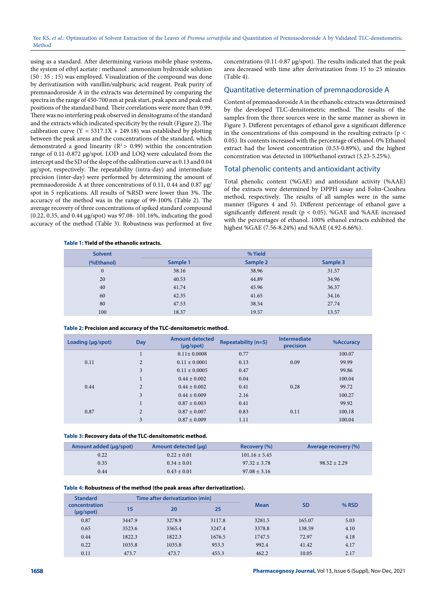using as a standard. After determining various mobile phase systems, the system of ethyl acetate : methanol : ammonium hydroxide solution (50 : 35 : 15) was employed. Visualization of the compound was done by derivatization with vanillin/sulphuric acid reagent. Peak purity of premnaodoroside A in the extracts was determined by comparing the spectra in the range of 450-700 nm at peak start, peak apex and peak end positions of the standard band. Their correlations were more than 0.99. There was no interfering peak observed in densitograms of the standard and the extracts which indicated specificity by the result (Figure 2). The calibration curve  $(Y = 5317.1X + 249.18)$  was established by plotting between the peak areas and the concentrations of the standard, which demonstrated a good linearity ( $R^2 > 0.99$ ) within the concentration range of 0.11-0.872 µg/spot. LOD and LOQ were calculated from the intercept and the SD of the slope of the calibration curve as 0.13 and 0.04 µg/spot, respectively. The repeatability (intra-day) and intermediate precision (inter-day) were performed by determining the amount of premnaodoroside A at three concentrations of 0.11, 0.44 and 0.87 µg/ spot in 5 replications. All results of %RSD were lower than 3%. The accuracy of the method was in the range of 99-100% (Table 2). The average recovery of three concentrations of spiked standard compound (0.22, 0.35, and 0.44 µg/spot) was 97.08- 101.16%, indicating the good accuracy of the method (Table 3). Robustness was performed at five concentrations (0.11-0.87 µg/spot). The results indicated that the peak area decreased with time after derivatization from 15 to 25 minutes (Table 4).

### Quantitative determination of premnaodoroside A

Content of premnaodoroside A in the ethanolic extracts was determined by the developed TLC-densitometric method. The results of the samples from the three sources were in the same manner as shown in Figure 3. Different percentages of ethanol gave a significant difference in the concentrations of this compound in the resulting extracts ( $p <$ 0.05). Its contents increased with the percentage of ethanol. 0% Ethanol extract had the lowest concentration (0.53-0.89%), and the highest concentration was detected in 100%ethanol extract (3.23-5.25%).

### Total phenolic contents and antioxidant activity

Total phenolic content (%GAE) and antioxidant activity (%AAE) of the extracts were determined by DPPH assay and Folin-Cioalteu method, respectively. The results of all samples were in the same manner (Figures 4 and 5). Different percentage of ethanol gave a significantly different result ( $p < 0.05$ ). %GAE and %AAE increased with the percentages of ethanol. 100% ethanol extracts exhibited the highest %GAE (7.56-8.24%) and %AAE (4.92-6.66%).

### **Table 1: Yield of the ethanolic extracts.**

| <b>Solvent</b> | % Yield  |          |          |  |
|----------------|----------|----------|----------|--|
| (%Ethanol)     | Sample 1 | Sample 2 | Sample 3 |  |
| $\mathbf{0}$   | 38.16    | 38.96    | 31.57    |  |
| 20             | 40.53    | 44.89    | 34.96    |  |
| 40             | 41.74    | 45.96    | 36.37    |  |
| 60             | 42.35    | 41.65    | 34.16    |  |
| 80             | 47.53    | 38.54    | 27.74    |  |
| 100            | 18.37    | 19.57    | 13.57    |  |

#### **Table 2: Precision and accuracy of the TLC-densitometric method.**

| Day            | <b>Amount detected</b><br>$(\mu q$ /spot $)$ | <b>Repeatability (n=5)</b> | <b>Intermediate</b><br>precision | %Accuracy |
|----------------|----------------------------------------------|----------------------------|----------------------------------|-----------|
|                | $0.11 \pm 0.0008$                            | 0.77                       |                                  | 100.07    |
| $\overline{2}$ | $0.11 \pm 0.0001$                            | 0.13                       | 0.09                             | 99.99     |
| 3              | $0.11 \pm 0.0005$                            | 0.47                       |                                  | 99.86     |
|                | $0.44 \pm 0.002$                             | 0.04                       |                                  | 100.04    |
| $\overline{c}$ | $0.44 \pm 0.002$                             | 0.41                       | 0.28                             | 99.72     |
| 3              | $0.44 \pm 0.009$                             | 2.16                       |                                  | 100.27    |
|                | $0.87 \pm 0.003$                             | 0.41                       |                                  | 99.92     |
| $\overline{2}$ | $0.87 \pm 0.007$                             | 0.83                       | 0.11                             | 100.18    |
| 3              | $0.87 \pm 0.009$                             | 1.11                       |                                  | 100.04    |
|                |                                              |                            |                                  |           |

### **Table 3: Recovery data of the TLC-densitometric method.**

| Amount added (µg/spot) | Amount detected (µq) | Recovery (%)      | Average recovery (%) |
|------------------------|----------------------|-------------------|----------------------|
| 0.22                   | $0.22 \pm 0.01$      | $101.16 \pm 5.45$ |                      |
| 0.35                   | $0.34 \pm 0.01$      | $97.32 \pm 3.78$  | $98.52 + 2.29$       |
| 0.44                   | $0.43 \pm 0.01$      | $97.08 \pm 3.16$  |                      |

### **Table 4: Robustness of the method (the peak areas after derivatization).**

| <b>Standard</b><br>concentration<br>$(\mu q$ /spot $)$ | Time after derivatization (min) |        |        |             |           |       |
|--------------------------------------------------------|---------------------------------|--------|--------|-------------|-----------|-------|
|                                                        | 15                              | 20     | 25     | <b>Mean</b> | <b>SD</b> | % RSD |
| 0.87                                                   | 3447.9                          | 3278.9 | 3117.8 | 3281.5      | 165.07    | 5.03  |
| 0.65                                                   | 3523.6                          | 3365.4 | 3247.4 | 3378.8      | 138.59    | 4.10  |
| 0.44                                                   | 1822.3                          | 1822.3 | 1676.5 | 1747.5      | 72.97     | 4.18  |
| 0.22                                                   | 1035.8                          | 1035.8 | 953.3  | 992.4       | 41.42     | 4.17  |
| 0.11                                                   | 473.7                           | 473.7  | 455.3  | 462.2       | 10.05     | 2.17  |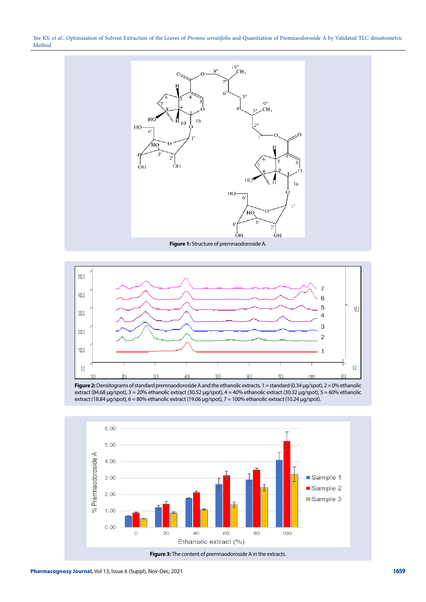Yee KS, *et al.*: Optimization of Solvent Extraction of the Leaves of *Premna serratifolia* and Quantitation of Premnaodoroside A by Validated TLC-densitometric Method



**Figure 1:** Structure of premnaodoroside A.



**Figure 2:** Densitograms of standard premnaodoroside A and the ethanolic extracts. 1 = standard (0.34 µg/spot), 2 = 0% ethanolic extract (84.68 µg/spot), 3 = 20% ethanolic extract (30.52 µg/spot), 4 = 40% ethanolic extract (30.32 µg/spot), 5 = 60% ethanolic extract (18.84 µg/spot),  $6 = 80\%$  ethanolic extract (19.06 µg/spot),  $7 = 100\%$  ethanolic extract (10.24 µg/spot).

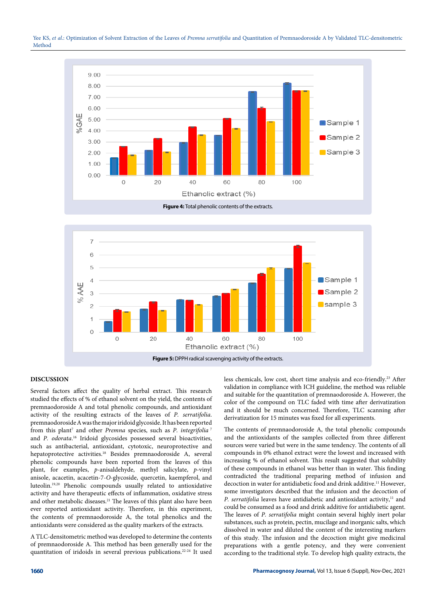



**Figure 4:** Total phenolic contents of the extracts.



### **DISCUSSION**

Several factors affect the quality of herbal extract. This research studied the effects of % of ethanol solvent on the yield, the contents of premnaodoroside A and total phenolic compounds, and antioxidant activity of the resulting extracts of the leaves of *P. serratifolia*. premnaodoroside A was the major iridoid glycoside. It has been reported from this plant<sup>7</sup> and other *Premna* species, such as *P. integrifolia*<sup>7</sup> and *P. odorata*. 16 Iridoid glycosides possessed several bioactivities, such as antibacterial, antioxidant, cytotoxic, neuroprotective and hepatoprotective activities.18 Besides premnaodoroside A, several phenolic compounds have been reported from the leaves of this plant, for examples, *p*-anisaldehyde, methyl salicylate, *p*-vinyl anisole, acacetin, acacetin-7-*O*-glycoside, quercetin, kaempferol, and luteolin.19,20 Phenolic compounds usually related to antioxidative activity and have therapeutic effects of inflammation, oxidative stress and other metabolic diseases.<sup>21</sup> The leaves of this plant also have been ever reported antioxidant activity. Therefore, in this experiment, the contents of premnaodoroside A, the total phenolics and the antioxidants were considered as the quality markers of the extracts.

A TLC-densitometric method was developed to determine the contents of premnaodoroside A. This method has been generally used for the quantitation of iridoids in several previous publications.22-24 It used

less chemicals, low cost, short time analysis and eco-friendly.23 After validation in compliance with ICH guideline, the method was reliable and suitable for the quantitation of premnaodoroside A. However, the color of the compound on TLC faded with time after derivatization and it should be much concerned. Therefore, TLC scanning after derivatization for 15 minutes was fixed for all experiments.

The contents of premnaodoroside A, the total phenolic compounds and the antioxidants of the samples collected from three different sources were varied but were in the same tendency. The contents of all compounds in 0% ethanol extract were the lowest and increased with increasing % of ethanol solvent. This result suggested that solubility of these compounds in ethanol was better than in water. This finding contradicted the traditional preparing method of infusion and decoction in water for antidiabetic food and drink additive.11 However, some investigators described that the infusion and the decoction of *P. serratifolia* leaves have antidiabetic and antioxidant activity,<sup>11</sup> and could be consumed as a food and drink additive for antidiabetic agent. The leaves of *P. serratifolia* might contain several highly inert polar substances, such as protein, pectin, mucilage and inorganic salts, which dissolved in water and diluted the content of the interesting markers of this study. The infusion and the decoction might give medicinal preparations with a gentle potency, and they were convenient according to the traditional style. To develop high quality extracts, the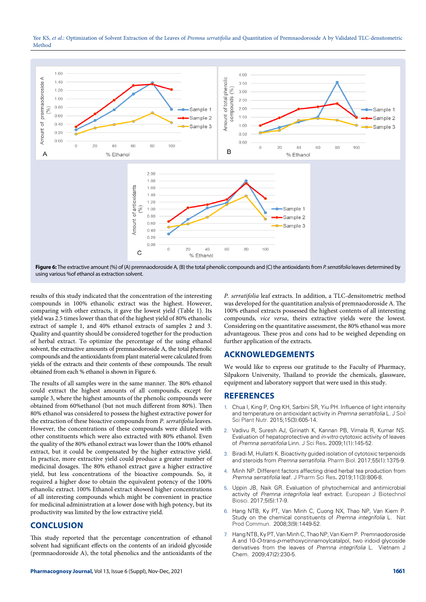



using various %of ethanol as extraction solvent.

results of this study indicated that the concentration of the interesting compounds in 100% ethanolic extract was the highest. However, comparing with other extracts, it gave the lowest yield (Table 1). Its yield was 2.5 times lower than that of the highest yield of 80% ethanolic extract of sample 1, and 40% ethanol extracts of samples 2 and 3. Quality and quantity should be considered together for the production of herbal extract. To optimize the percentage of the using ethanol solvent, the extractive amounts of premnaodoroside A, the total phenolic compounds and the antioxidants from plant material were calculated from yields of the extracts and their contents of these compounds. The result obtained from each % ethanol is shown in Figure 6.

The results of all samples were in the same manner. The 80% ethanol could extract the highest amounts of all compounds, except for sample 3, where the highest amounts of the phenolic compounds were obtained from 60%ethanol (but not much different from 80%). Then 80% ethanol was considered to possess the highest extractive power for the extraction of these bioactive compounds from *P. serratifolia* leaves. However, the concentrations of these compounds were diluted with other constituents which were also extracted with 80% ethanol. Even the quality of the 80% ethanol extract was lower than the 100% ethanol extract, but it could be compensated by the higher extractive yield. In practice, more extractive yield could produce a greater number of medicinal dosages. The 80% ethanol extract gave a higher extractive yield, but less concentrations of the bioactive compounds. So, it required a higher dose to obtain the equivalent potency of the 100% ethanolic extract. 100% Ethanol extract showed higher concentrations of all interesting compounds which might be convenient in practice for medicinal administration at a lower dose with high potency, but its productivity was limited by the low extractive yield.

# **CONCLUSION**

This study reported that the percentage concentration of ethanol solvent had significant effects on the contents of an iridoid glycoside (premnaodoroside A), the total phenolics and the antioxidants of the

*P. serratifolia* leaf extracts. In addition, a TLC-densitometric method was developed for the quantitation analysis of premnaodoroside A. The 100% ethanol extracts possessed the highest contents of all interesting compounds, *vice versa*, theirs extractive yields were the lowest. Considering on the quantitative assessment, the 80% ethanol was more advantageous. These pros and cons had to be weighed depending on further application of the extracts.

# **ACKNOWLEDGEMENTS**

We would like to express our gratitude to the Faculty of Pharmacy, Silpakorn University, Thailand to provide the chemicals, glassware, equipment and laboratory support that were used in this study.

# **REFERENCES**

- 1. Chua I, King P, Ong KH, Sarbini SR, Yiu PH. Influence of light intensity and temperature on antioxidant activity in *Premna serratifolia* L. J Soil Sci Plant Nutr. 2015;15(3):605-14.
- 2. Vadivu R, Suresh AJ, Girinath K, Kannan PB, Vimala R, Kumar NS. Evaluation of hepatoprotective and *in-vitro* cytotoxic activity of leaves of *Premna serratifolia* Linn. J Sci Res**.** 2009;1(1):145-52.
- 3. Biradi M, Hullatti K. Bioactivity guided isolation of cytotoxic terpenoids and steroids from *Premna serratifolia*. Pharm Biol. 2017;55(1):1375-9.
- 4. Minh NP. Different factors affecting dried herbal tea production from *Premna serratifolia* leaf. J Pharm Sci Res**.** 2019;11(3):806-8.
- 5. Uppin JB, Naik GR. Evaluation of phytochemical and antimicrobial activity of *Premna integrifolia* leaf extract. European J Biotechnol Biosci. 2017;5(5):17-9.
- 6. Hang NTB, Ky PT, Van Minh C, Cuong NX, Thao NP, Van Kiem P. Study on the chemical constituents of *Premna integrifolia* L. Nat Prod Commun. 2008;3(9):1449-52.
- 7. Hang NTB, Ky PT, Van Minh C, Thao NP, Van Kiem P. Premnaodoroside A and 10-*O*-trans-*p*-methoxycinnamoylcatalpol, two iridoid glycoside derivatives from the leaves of *Premna integrifolia* L. Vietnam J Chem. 2009;47(2):230-5.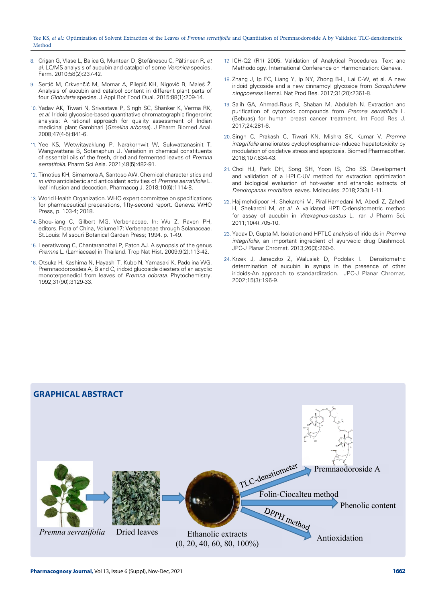### Yee KS, *et al*.: Optimization of Solvent Extraction of the Leaves of *Premna serratifolia* and Quantitation of Premnaodoroside A by Validated TLC-densitometric Method

- 8. Crişan G, Vlase L, Balica G, Muntean D, Ştefănescu C, Păltinean R, *et al*. LC/MS analysis of aucubin and catalpol of some *Veronica* species. Farm. 2010;58(2):237-42.
- 9. Sertić M, Crkvenčić M, Mornar A, Pilepić KH, Nigović B, Maleš Ž. Analysis of aucubin and catalpol content in different plant parts of four *Globularia* species. J Appl Bot Food Qual. 2015;88(1):209-14.
- 10. Yadav AK, Tiwari N, Srivastava P, Singh SC, Shanker K, Verma RK, *et al*. Iridoid glycoside-based quantitative chromatographic fingerprint analysis: A rational approach for quality assessment of Indian medicinal plant Gambhari (*Gmelina arborea*). J Pharm Biomed Anal. 2008;47(4-5):841-6.
- 11. Yee KS, Wetwitayaklung P, Narakornwit W, Sukwattanasinit T, Wangwattana B, Sotanaphun U. Variation in chemical constituents of essential oils of the fresh, dried and fermented leaves of *Premna serratifolia*. Pharm Sci Asia*.* 2021;48(5):482-91.
- 12. Timotius KH, Simamora A, Santoso AW. Chemical characteristics and *in vitro* antidiabetic and antioxidant activities of *Premna serratifolia* L. leaf infusion and decoction. Pharmacog J. 2018;10(6):1114-8.
- 13. World Health Organization. WHO expert committee on specifications for pharmaceutical preparations, fifty-second report. Geneva: WHO Press, p. 103-4; 2018.
- 14. Shou-liang C, Gilbert MG. Verbenaceae. In: Wu Z, Raven PH, editors. Flora of China, Volume17: Verbenaceae through Solanaceae. St.Louis: Missouri Botanical Garden Press; 1994. p. 1-49.
- 15. Leeratiwong C, Chantaranothai P, Paton AJ. A synopsis of the genus *Premna* L. (Lamiaceae) in Thailand. Trop Nat Hist**.** 2009;9(2):113-42.
- 16. Otsuka H, Kashima N, Hayashi T, Kubo N, Yamasaki K, Padolina WG. Premnaodorosides A, B and C, iridoid glucoside diesters of an acyclic monoterpenediol from leaves of *Premna odorata*. Phytochemistry. 1992;31(90):3129-33.
- 17. ICH-Q2 (R1) 2005. Validation of Analytical Procedures: Text and Methodology. International Conference on Harmonization: Geneva.
- 18. Zhang J, Ip FC, Liang Y, Ip NY, Zhong B-L, Lai C-W, et al. A new iridoid glycoside and a new cinnamoyl glycoside from *Scrophularia ningpoensis* Hemsl. Nat Prod Res. 2017;31(20):2361-8.
- 19. Salih GA, Ahmad-Raus R, Shaban M, Abdullah N. Extraction and purification of cytotoxic compounds from *Premna serratifolia* L. (Bebuas) for human breast cancer treatment. Int Food Res J. 2017;24:281-6.
- 20. Singh C, Prakash C, Tiwari KN, Mishra SK, Kumar V. *Premna integrifolia* ameliorates cyclophosphamide-induced hepatotoxicity by modulation of oxidative stress and apoptosis. Biomed Pharmacother. 2018;107:634-43.
- 21. Choi HJ, Park DH, Song SH, Yoon IS, Cho SS. Development and validation of a HPLC-UV method for extraction optimization and biological evaluation of hot-water and ethanolic extracts of *Dendropanax morbifera* leaves. Molecules. 2018;23(3):1-11.
- 22. Hajimehdipoor H, Shekarchi M, PiraliHamedani M, Abedi Z, Zahedi H, Shekarchi M, *et al*. A validated HPTLC-densitometric method for assay of aucubin in *Vitexagnus-castus* L. Iran J Pharm Sci**.** 2011;10(4):705-10.
- 23. Yadav D, Gupta M. Isolation and HPTLC analysis of iridoids in *Premna integrifolia*, an important ingredient of ayurvedic drug Dashmool. JPC-J Planar Chromat. 2013;26(3):260-6.
- 24. Krzek J, Janeczko Z, Walusiak D, Podolak I. Densitometric determination of aucubin in syrups in the presence of other iridoids-An approach to standardization. JPC-J Planar Chromat**.** 2002;15(3):196-9.

# **GRAPHICAL ABSTRACT**